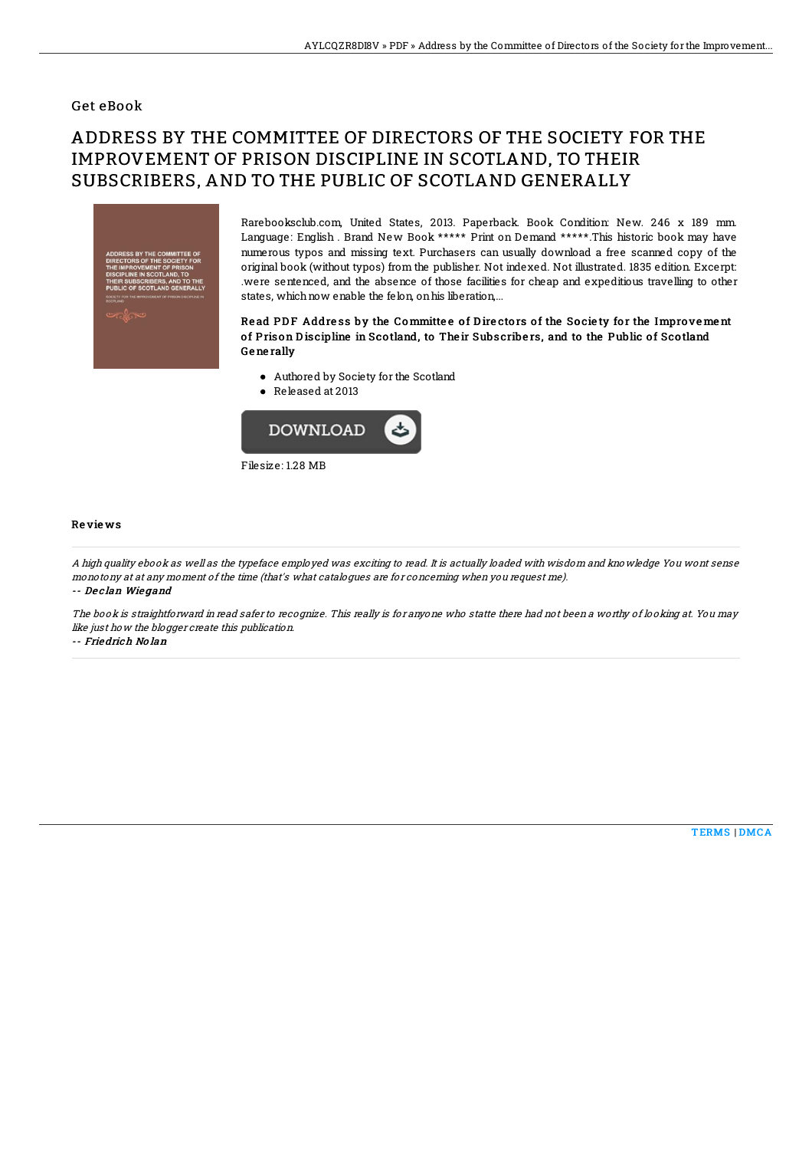### Get eBook

# ADDRESS BY THE COMMITTEE OF DIRECTORS OF THE SOCIETY FOR THE IMPROVEMENT OF PRISON DISCIPLINE IN SCOTLAND, TO THEIR SUBSCRIBERS, AND TO THE PUBLIC OF SCOTLAND GENERALLY



Rarebooksclub.com, United States, 2013. Paperback. Book Condition: New. 246 x 189 mm. Language: English . Brand New Book \*\*\*\*\* Print on Demand \*\*\*\*\*.This historic book may have numerous typos and missing text. Purchasers can usually download a free scanned copy of the original book (without typos) from the publisher. Not indexed. Not illustrated. 1835 edition. Excerpt: .were sentenced, and the absence of those facilities for cheap and expeditious travelling to other states, which now enable the felon, on his liberation,...

#### Read PDF Address by the Committee of Directors of the Society for the Improvement of Prison Discipline in Scotland, to Their Subscribers, and to the Public of Scotland Ge ne rally

- Authored by Society for the Scotland
- Released at 2013



#### Re vie ws

A high quality ebook as well as the typeface employed was exciting to read. It is actually loaded with wisdom and knowledge You wont sense monotony at at any moment of the time (that's what catalogues are for concerning when you request me). -- De <sup>c</sup> lan Wie gand

The book is straightforward in read safer to recognize. This really is for anyone who statte there had not been <sup>a</sup> worthy of looking at. You may like just how the blogger create this publication.

-- Friedrich No lan